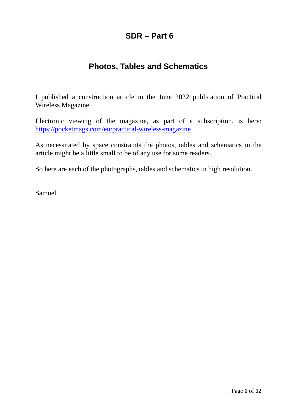## **SDR – Part 6**

## **Photos, Tables and Schematics**

I published a construction article in the June 2022 publication of Practical Wireless Magazine.

Electronic viewing of the magazine, as part of a subscription, is here: <https://pocketmags.com/eu/practical-wireless-magazine>

As necessitated by space constraints the photos, tables and schematics in the article might be a little small to be of any use for some readers.

So here are each of the photographs, tables and schematics in high resolution.

Samuel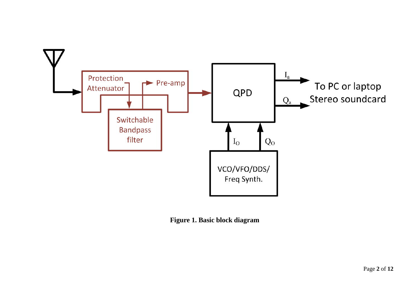

**Figure 1. Basic block diagram**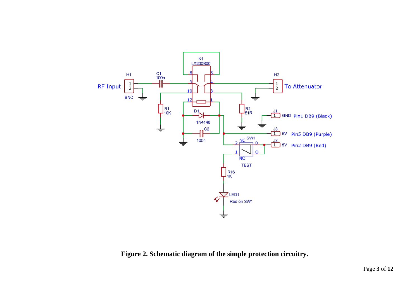

**Figure 2. Schematic diagram of the simple protection circuitry.**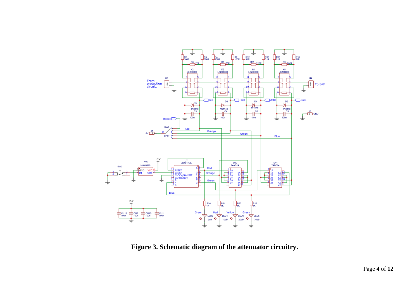

**Figure 3. Schematic diagram of the attenuator circuitry.**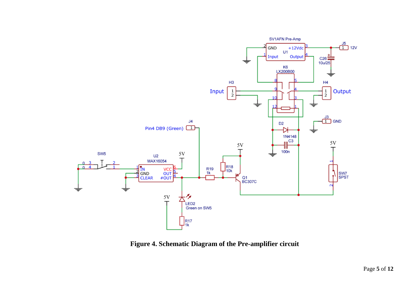

**Figure 4. Schematic Diagram of the Pre-amplifier circuit**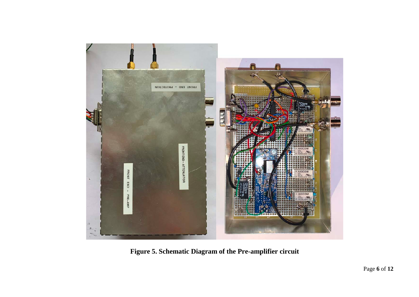

**Figure 5. Schematic Diagram of the Pre-amplifier circuit**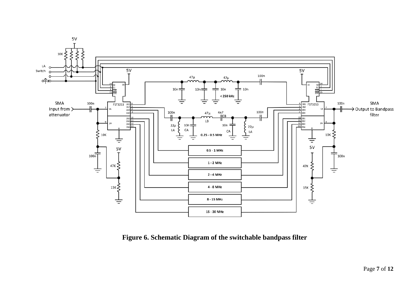

**Figure 6. Schematic Diagram of the switchable bandpass filter**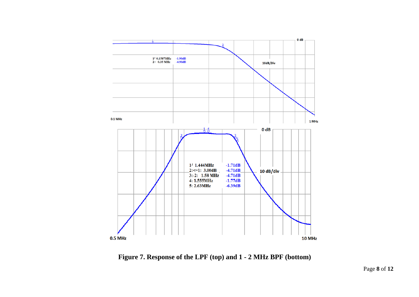

**Figure 7. Response of the LPF (top) and 1 - 2 MHz BPF (bottom)**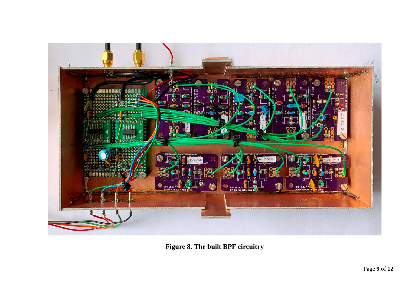

**Figure 8. The built BPF circuitry**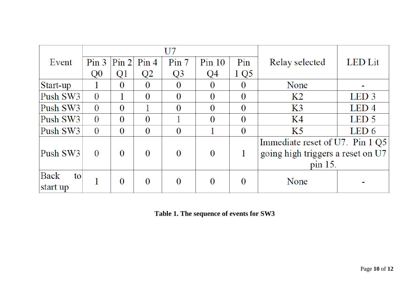|            |                  |                |                | U7             |                |          |                                   |                  |
|------------|------------------|----------------|----------------|----------------|----------------|----------|-----------------------------------|------------------|
| Event      | Pin <sub>3</sub> | Pin 2          | Pin 4          | Pin 7          | $Pin$ 10       | Pin      | Relay selected                    | <b>LED</b> Lit   |
|            | Q <sub>0</sub>   | Q1             | Q2             | Q <sub>3</sub> | Q4             | 1 Q5     |                                   |                  |
| Start-up   |                  | $\Omega$       | $\theta$       | $\Omega$       | 0              | $\theta$ | None                              |                  |
| Push SW3   | $\theta$         |                | $\theta$       | $\Omega$       | $\Omega$       | $\theta$ | K <sub>2</sub>                    | LED <sub>3</sub> |
| Push SW3   | $\Omega$         | $\Omega$       |                | $\Omega$       | $\theta$       | $\Omega$ | K <sub>3</sub>                    | LED <sub>4</sub> |
| Push SW3   | $\theta$         | $\Omega$       | $\theta$       |                | $\theta$       | $\theta$ | K4                                | LED <sub>5</sub> |
| Push SW3   | $\theta$         | $\theta$       | $\theta$       | $\Omega$       |                | $\theta$ | K <sub>5</sub>                    | LED 6            |
| Push SW3   | $\theta$         | $\Omega$       | $\Omega$       | $\Omega$       | $\overline{0}$ |          | Immediate reset of U7. Pin 1 Q5   |                  |
|            |                  |                |                |                |                |          | going high triggers a reset on U7 |                  |
|            |                  |                |                |                |                |          | pin 15.                           |                  |
| Back<br>to |                  | $\overline{0}$ | $\overline{0}$ |                | $\theta$       | $\theta$ | None                              |                  |
| start up   |                  |                |                |                |                |          |                                   |                  |

**Table 1. The sequence of events for SW3**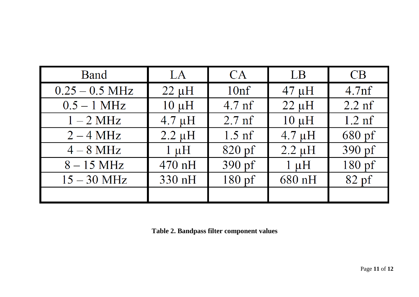| <b>Band</b>      | LA          | CA               | LB          | CB                |
|------------------|-------------|------------------|-------------|-------------------|
| $0.25 - 0.5$ MHz | $22 \mu H$  | 10 <sup>nf</sup> | $47 \mu H$  | 4.7 <sub>nf</sub> |
| $0.5 - 1$ MHz    | $10 \mu H$  | $4.7$ nf         | $22 \mu H$  | $2.2$ nf          |
| $1-2$ MHz        | $4.7 \mu H$ | $2.7$ nf         | $10 \mu H$  | $1.2 \text{ nf}$  |
| $2 - 4 MHz$      | $2.2 \mu H$ | $1.5$ nf         | $4.7 \mu H$ | 680 pf            |
| $4-8$ MHz        | $1 \mu H$   | $820$ pf         | $2.2 \mu H$ | 390 pf            |
| $8-15$ MHz       | $470$ nH    | $390$ pf         | $1 \mu H$   | $180$ pf          |
| $15 - 30$ MHz    | 330 nH      | $180$ pf         | 680 nH      | $82$ pf           |
|                  |             |                  |             |                   |

**Table 2. Bandpass filter component values**